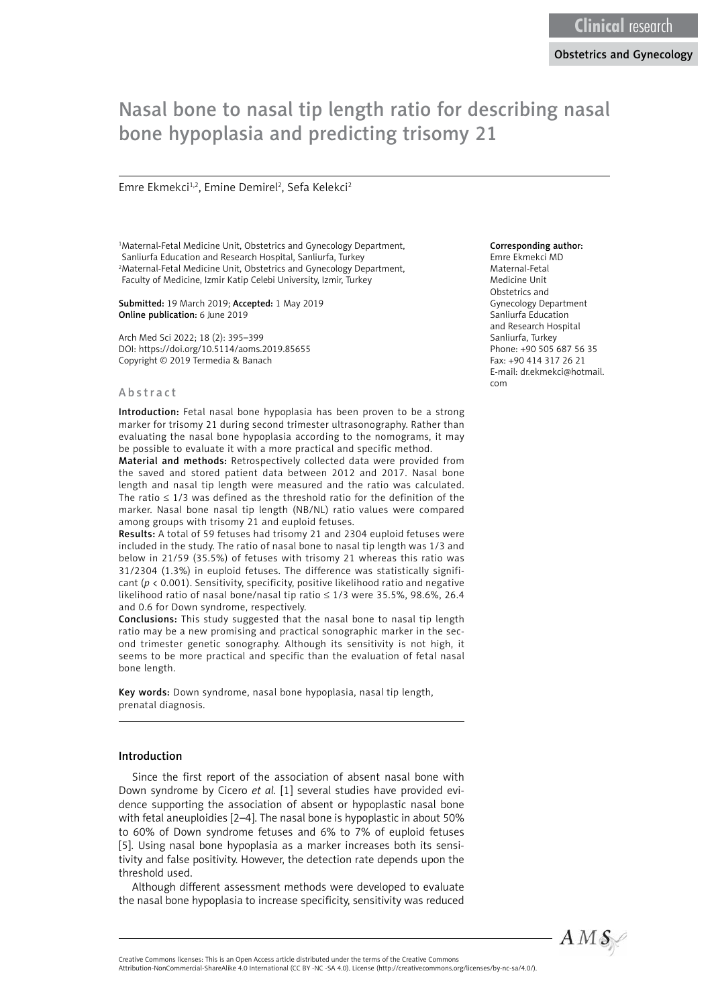# Nasal bone to nasal tip length ratio for describing nasal bone hypoplasia and predicting trisomy 21

#### Emre Ekmekci<sup>1,2</sup>, Emine Demirel<sup>2</sup>, Sefa Kelekci<sup>2</sup>

1 Maternal-Fetal Medicine Unit, Obstetrics and Gynecology Department, Sanliurfa Education and Research Hospital, Sanliurfa, Turkey 2 Maternal-Fetal Medicine Unit, Obstetrics and Gynecology Department, Faculty of Medicine, Izmir Katip Celebi University, Izmir, Turkey

#### Submitted: 19 March 2019; Accepted: 1 May 2019 Online publication: 6 June 2019

Arch Med Sci 2022; 18 (2): 395–399 DOI: https://doi.org/10.5114/aoms.2019.85655 Copyright © 2019 Termedia & Banach

#### Abstract

Introduction: Fetal nasal bone hypoplasia has been proven to be a strong marker for trisomy 21 during second trimester ultrasonography. Rather than evaluating the nasal bone hypoplasia according to the nomograms, it may be possible to evaluate it with a more practical and specific method.

Material and methods: Retrospectively collected data were provided from the saved and stored patient data between 2012 and 2017. Nasal bone length and nasal tip length were measured and the ratio was calculated. The ratio  $\leq 1/3$  was defined as the threshold ratio for the definition of the marker. Nasal bone nasal tip length (NB/NL) ratio values were compared among groups with trisomy 21 and euploid fetuses.

Results: A total of 59 fetuses had trisomy 21 and 2304 euploid fetuses were included in the study. The ratio of nasal bone to nasal tip length was 1/3 and below in 21/59 (35.5%) of fetuses with trisomy 21 whereas this ratio was 31/2304 (1.3%) in euploid fetuses. The difference was statistically significant (*p* < 0.001). Sensitivity, specificity, positive likelihood ratio and negative likelihood ratio of nasal bone/nasal tip ratio ≤ 1/3 were 35.5%, 98.6%, 26.4 and 0.6 for Down syndrome, respectively.

Conclusions: This study suggested that the nasal bone to nasal tip length ratio may be a new promising and practical sonographic marker in the second trimester genetic sonography. Although its sensitivity is not high, it seems to be more practical and specific than the evaluation of fetal nasal bone length.

Key words: Down syndrome, nasal bone hypoplasia, nasal tip length, prenatal diagnosis.

#### Introduction

Since the first report of the association of absent nasal bone with Down syndrome by Cicero *et al.* [1] several studies have provided evidence supporting the association of absent or hypoplastic nasal bone with fetal aneuploidies [2–4]. The nasal bone is hypoplastic in about 50% to 60% of Down syndrome fetuses and 6% to 7% of euploid fetuses [5]. Using nasal bone hypoplasia as a marker increases both its sensitivity and false positivity. However, the detection rate depends upon the threshold used.

Although different assessment methods were developed to evaluate the nasal bone hypoplasia to increase specificity, sensitivity was reduced

#### Corresponding author:

Emre Ekmekci MD Maternal-Fetal Medicine Unit Obstetrics and Gynecology Department Sanliurfa Education and Research Hospital Sanliurfa, Turkey Phone: +90 505 687 56 35 Fax: +90 414 317 26 21 E-mail: [dr.ekmekci@hotmail.](mailto:dr.ekmekci@hotmail.com) [com](mailto:dr.ekmekci@hotmail.com)



Creative Commons licenses: This is an Open Access article distributed under the terms of the Creative Commons

Attribution-NonCommercial-ShareAlike 4.0 International (CC BY -NC -SA 4.0). License (http://creativecommons.org/licenses/by-nc-sa/4.0/).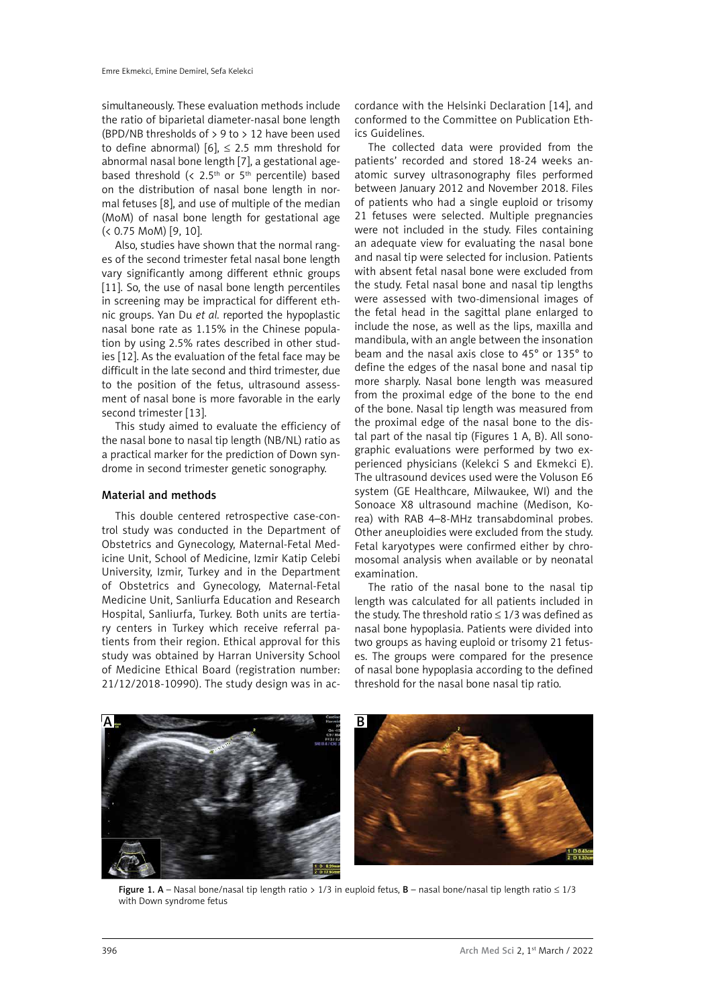simultaneously. These evaluation methods include the ratio of biparietal diameter-nasal bone length (BPD/NB thresholds of  $> 9$  to  $> 12$  have been used to define abnormal)  $[6]$ ,  $\leq$  2.5 mm threshold for abnormal nasal bone length [7], a gestational agebased threshold (<  $2.5<sup>th</sup>$  or  $5<sup>th</sup>$  percentile) based on the distribution of nasal bone length in normal fetuses [8], and use of multiple of the median (MoM) of nasal bone length for gestational age (< 0.75 MoM) [9, 10].

Also, studies have shown that the normal ranges of the second trimester fetal nasal bone length vary significantly among different ethnic groups [11]. So, the use of nasal bone length percentiles in screening may be impractical for different ethnic groups. Yan Du *et al.* reported the hypoplastic nasal bone rate as 1.15% in the Chinese population by using 2.5% rates described in other studies [12]. As the evaluation of the fetal face may be difficult in the late second and third trimester, due to the position of the fetus, ultrasound assessment of nasal bone is more favorable in the early second trimester [13].

This study aimed to evaluate the efficiency of the nasal bone to nasal tip length (NB/NL) ratio as a practical marker for the prediction of Down syndrome in second trimester genetic sonography.

### Material and methods

This double centered retrospective case-control study was conducted in the Department of Obstetrics and Gynecology, Maternal-Fetal Medicine Unit, School of Medicine, Izmir Katip Celebi University, Izmir, Turkey and in the Department of Obstetrics and Gynecology, Maternal-Fetal Medicine Unit, Sanliurfa Education and Research Hospital, Sanliurfa, Turkey. Both units are tertiary centers in Turkey which receive referral patients from their region. Ethical approval for this study was obtained by Harran University School of Medicine Ethical Board (registration number: 21/12/2018-10990). The study design was in ac-

cordance with the Helsinki Declaration [14], and conformed to the Committee on Publication Ethics Guidelines.

The collected data were provided from the patients' recorded and stored 18-24 weeks anatomic survey ultrasonography files performed between January 2012 and November 2018. Files of patients who had a single euploid or trisomy 21 fetuses were selected. Multiple pregnancies were not included in the study. Files containing an adequate view for evaluating the nasal bone and nasal tip were selected for inclusion. Patients with absent fetal nasal bone were excluded from the study. Fetal nasal bone and nasal tip lengths were assessed with two-dimensional images of the fetal head in the sagittal plane enlarged to include the nose, as well as the lips, maxilla and mandibula, with an angle between the insonation beam and the nasal axis close to 45° or 135° to define the edges of the nasal bone and nasal tip more sharply. Nasal bone length was measured from the proximal edge of the bone to the end of the bone. Nasal tip length was measured from the proximal edge of the nasal bone to the distal part of the nasal tip (Figures 1 A, B). All sonographic evaluations were performed by two experienced physicians (Kelekci S and Ekmekci E). The ultrasound devices used were the Voluson E6 system (GE Healthcare, Milwaukee, WI) and the Sonoace X8 ultrasound machine (Medison, Korea) with RAB 4–8-MHz transabdominal probes. Other aneuploidies were excluded from the study. Fetal karyotypes were confirmed either by chromosomal analysis when available or by neonatal examination.

The ratio of the nasal bone to the nasal tip length was calculated for all patients included in the study. The threshold ratio  $\leq 1/3$  was defined as nasal bone hypoplasia. Patients were divided into two groups as having euploid or trisomy 21 fetuses. The groups were compared for the presence of nasal bone hypoplasia according to the defined threshold for the nasal bone nasal tip ratio.



Figure 1. A – Nasal bone/nasal tip length ratio > 1/3 in euploid fetus, B – nasal bone/nasal tip length ratio  $\leq 1/3$ with Down syndrome fetus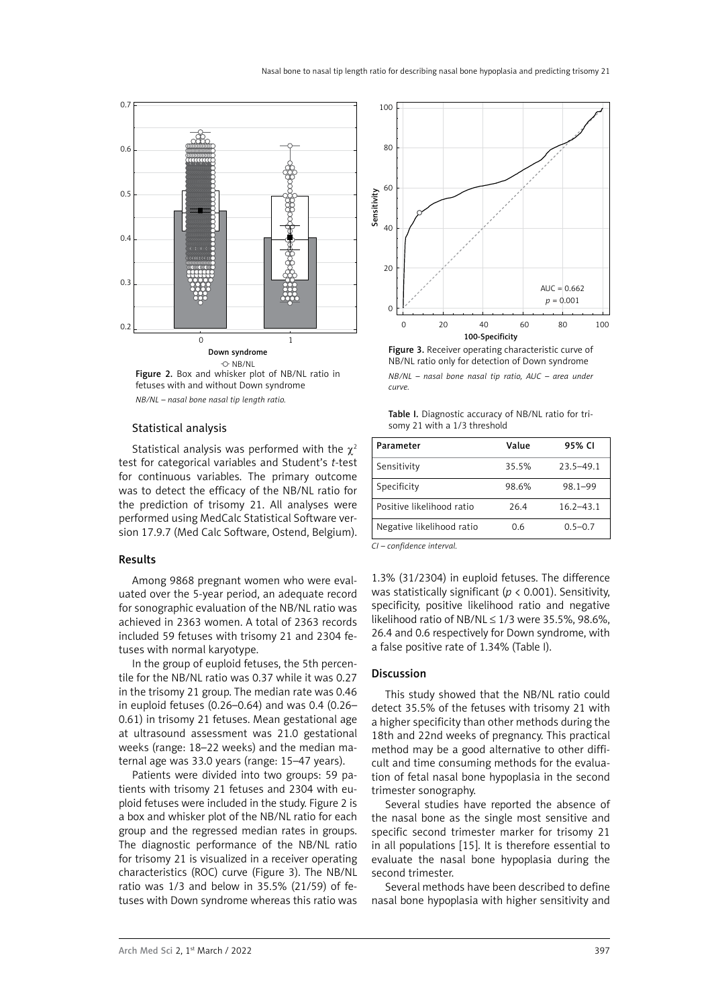

Figure 2. Box and whisker plot of NB/NL ratio in fetuses with and without Down syndrome *NB/NL – nasal bone nasal tip length ratio.*

#### Statistical analysis

Statistical analysis was performed with the  $\chi^2$ test for categorical variables and Student's *t*-test for continuous variables. The primary outcome was to detect the efficacy of the NB/NL ratio for the prediction of trisomy 21. All analyses were performed using MedCalc Statistical Software version 17.9.7 (Med Calc Software, Ostend, Belgium).

#### Results

Among 9868 pregnant women who were evaluated over the 5-year period, an adequate record for sonographic evaluation of the NB/NL ratio was achieved in 2363 women. A total of 2363 records included 59 fetuses with trisomy 21 and 2304 fetuses with normal karyotype.

In the group of euploid fetuses, the 5th percentile for the NB/NL ratio was 0.37 while it was 0.27 in the trisomy 21 group. The median rate was 0.46 in euploid fetuses (0.26–0.64) and was 0.4 (0.26– 0.61) in trisomy 21 fetuses. Mean gestational age at ultrasound assessment was 21.0 gestational weeks (range: 18–22 weeks) and the median maternal age was 33.0 years (range: 15–47 years).

Patients were divided into two groups: 59 patients with trisomy 21 fetuses and 2304 with euploid fetuses were included in the study. Figure 2 is a box and whisker plot of the NB/NL ratio for each group and the regressed median rates in groups. The diagnostic performance of the NB/NL ratio for trisomy 21 is visualized in a receiver operating characteristics (ROC) curve (Figure 3). The NB/NL ratio was 1/3 and below in 35.5% (21/59) of fetuses with Down syndrome whereas this ratio was



Figure 3. Receiver operating characteristic curve of NB/NL ratio only for detection of Down syndrome *NB/NL – nasal bone nasal tip ratio, AUC – area under curve.*

| Table I. Diagnostic accuracy of NB/NL ratio for tri- |  |
|------------------------------------------------------|--|
| somy 21 with a 1/3 threshold                         |  |

| Parameter                 | Value | 95% CI        |
|---------------------------|-------|---------------|
| Sensitivity               | 35.5% | $23.5 - 49.1$ |
| Specificity               | 98.6% | 98.1-99       |
| Positive likelihood ratio | 26.4  | $16.2 - 43.1$ |
| Negative likelihood ratio | 0.6   | $0.5 - 0.7$   |

*CI – confidence interval.*

1.3% (31/2304) in euploid fetuses. The difference was statistically significant (*p* < 0.001). Sensitivity, specificity, positive likelihood ratio and negative likelihood ratio of NB/NL  $\leq$  1/3 were 35.5%, 98.6%, 26.4 and 0.6 respectively for Down syndrome, with a false positive rate of 1.34% (Table I).

#### Discussion

This study showed that the NB/NL ratio could detect 35.5% of the fetuses with trisomy 21 with a higher specificity than other methods during the 18th and 22nd weeks of pregnancy. This practical method may be a good alternative to other difficult and time consuming methods for the evaluation of fetal nasal bone hypoplasia in the second trimester sonography.

Several studies have reported the absence of the nasal bone as the single most sensitive and specific second trimester marker for trisomy 21 in all populations [15]. It is therefore essential to evaluate the nasal bone hypoplasia during the second trimester.

Several methods have been described to define nasal bone hypoplasia with higher sensitivity and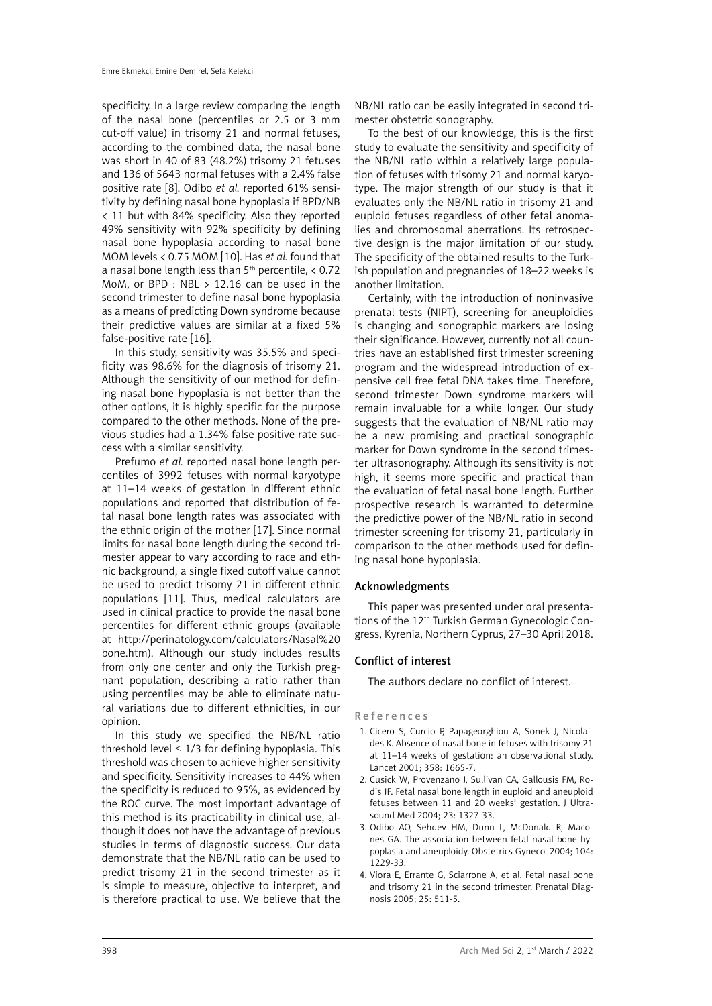specificity. In a large review comparing the length of the nasal bone (percentiles or 2.5 or 3 mm cut-off value) in trisomy 21 and normal fetuses, according to the combined data, the nasal bone was short in 40 of 83 (48.2%) trisomy 21 fetuses and 136 of 5643 normal fetuses with a 2.4% false positive rate [8]. Odibo *et al.* reported 61% sensitivity by defining nasal bone hypoplasia if BPD/NB < 11 but with 84% specificity. Also they reported 49% sensitivity with 92% specificity by defining nasal bone hypoplasia according to nasal bone MOM levels < 0.75 MOM [10]. Has *et al.* found that a nasal bone length less than  $5<sup>th</sup>$  percentile,  $\lt 0.72$ MoM, or BPD : NBL  $> 12.16$  can be used in the second trimester to define nasal bone hypoplasia as a means of predicting Down syndrome because their predictive values are similar at a fixed 5% false-positive rate [16].

In this study, sensitivity was 35.5% and specificity was 98.6% for the diagnosis of trisomy 21. Although the sensitivity of our method for defining nasal bone hypoplasia is not better than the other options, it is highly specific for the purpose compared to the other methods. None of the previous studies had a 1.34% false positive rate success with a similar sensitivity.

Prefumo *et al.* reported nasal bone length percentiles of 3992 fetuses with normal karyotype at 11–14 weeks of gestation in different ethnic populations and reported that distribution of fetal nasal bone length rates was associated with the ethnic origin of the mother [17]. Since normal limits for nasal bone length during the second trimester appear to vary according to race and ethnic background, a single fixed cutoff value cannot be used to predict trisomy 21 in different ethnic populations [11]. Thus, medical calculators are used in clinical practice to provide the nasal bone percentiles for different ethnic groups (available at http://perinatology.com/calculators/Nasal%20 bone.htm). Although our study includes results from only one center and only the Turkish pregnant population, describing a ratio rather than using percentiles may be able to eliminate natural variations due to different ethnicities, in our opinion.

In this study we specified the NB/NL ratio threshold level  $\leq 1/3$  for defining hypoplasia. This threshold was chosen to achieve higher sensitivity and specificity. Sensitivity increases to 44% when the specificity is reduced to 95%, as evidenced by the ROC curve. The most important advantage of this method is its practicability in clinical use, although it does not have the advantage of previous studies in terms of diagnostic success. Our data demonstrate that the NB/NL ratio can be used to predict trisomy 21 in the second trimester as it is simple to measure, objective to interpret, and is therefore practical to use. We believe that the NB/NL ratio can be easily integrated in second trimester obstetric sonography.

To the best of our knowledge, this is the first study to evaluate the sensitivity and specificity of the NB/NL ratio within a relatively large population of fetuses with trisomy 21 and normal karyotype. The major strength of our study is that it evaluates only the NB/NL ratio in trisomy 21 and euploid fetuses regardless of other fetal anomalies and chromosomal aberrations. Its retrospective design is the major limitation of our study. The specificity of the obtained results to the Turkish population and pregnancies of 18–22 weeks is another limitation.

Certainly, with the introduction of noninvasive prenatal tests (NIPT), screening for aneuploidies is changing and sonographic markers are losing their significance. However, currently not all countries have an established first trimester screening program and the widespread introduction of expensive cell free fetal DNA takes time. Therefore, second trimester Down syndrome markers will remain invaluable for a while longer. Our study suggests that the evaluation of NB/NL ratio may be a new promising and practical sonographic marker for Down syndrome in the second trimester ultrasonography. Although its sensitivity is not high, it seems more specific and practical than the evaluation of fetal nasal bone length. Further prospective research is warranted to determine the predictive power of the NB/NL ratio in second trimester screening for trisomy 21, particularly in comparison to the other methods used for defining nasal bone hypoplasia.

# Acknowledgments

This paper was presented under oral presentations of the 12th Turkish German Gynecologic Congress, Kyrenia, Northern Cyprus, 27–30 April 2018.

# Conflict of interest

The authors declare no conflict of interest.

#### References

- 1. Cicero S, Curcio P, Papageorghiou A, Sonek J, Nicolaides K. Absence of nasal bone in fetuses with trisomy 21 at 11–14 weeks of gestation: an observational study. Lancet 2001; 358: 1665-7.
- 2. Cusick W, Provenzano J, Sullivan CA, Gallousis FM, Rodis JF. Fetal nasal bone length in euploid and aneuploid fetuses between 11 and 20 weeks' gestation. J Ultrasound Med 2004; 23: 1327-33.
- 3. Odibo AO, Sehdev HM, Dunn L, McDonald R, Macones GA. The association between fetal nasal bone hypoplasia and aneuploidy. Obstetrics Gynecol 2004; 104: 1229-33.
- 4. Viora E, Errante G, Sciarrone A, et al. Fetal nasal bone and trisomy 21 in the second trimester. Prenatal Diagnosis 2005; 25: 511-5.